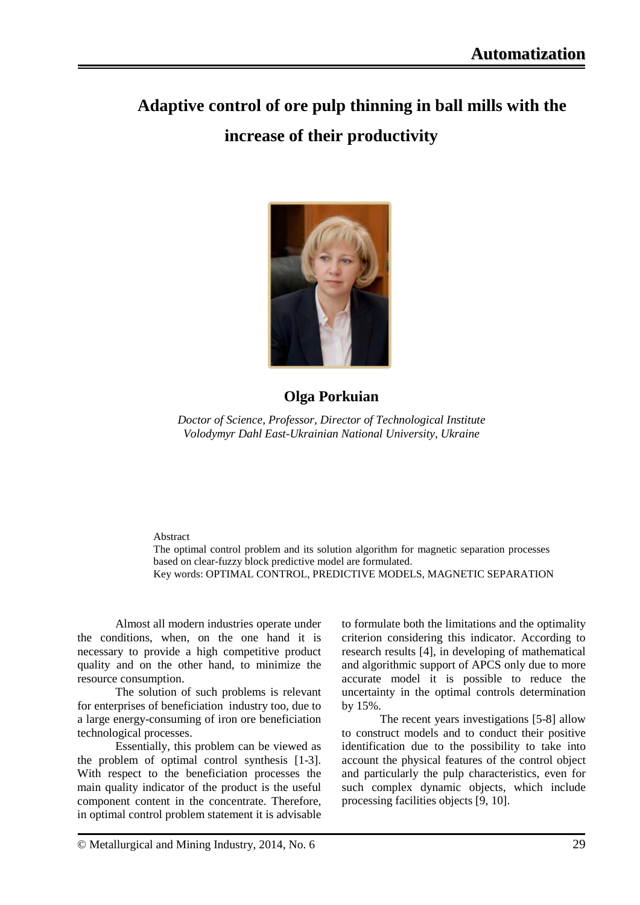# **Adaptive control of ore pulp thinning in ball mills with the increase of their productivity**



## **Olga Porkuian**

*Doctor of Science, Professor, Director of Technological Institute Volodymyr Dahl East-Ukrainian National University, Ukraine*

#### Abstract

The optimal control problem and its solution algorithm for magnetic separation processes based on clear-fuzzy block predictive model are formulated. Key words: OPTIMAL CONTROL, PREDICTIVE MODELS, MAGNETIC SEPARATION

Almost all modern industries operate under the conditions, when, on the one hand it is necessary to provide a high competitive product quality and on the other hand, to minimize the resource consumption.

The solution of such problems is relevant for enterprises of beneficiation industry too, due to a large energy-consuming of iron ore beneficiation technological processes.

Essentially, this problem can be viewed as the problem of optimal control synthesis [1-3]. With respect to the beneficiation processes the main quality indicator of the product is the useful component content in the concentrate. Therefore, in optimal control problem statement it is advisable

to formulate both the limitations and the optimality criterion considering this indicator. According to research results [4], in developing of mathematical and algorithmic support of APCS only due to more accurate model it is possible to reduce the uncertainty in the optimal controls determination by 15%.

The recent years investigations [5-8] allow to construct models and to conduct their positive identification due to the possibility to take into account the physical features of the control object and particularly the pulp characteristics, even for such complex dynamic objects, which include processing facilities objects [9, 10].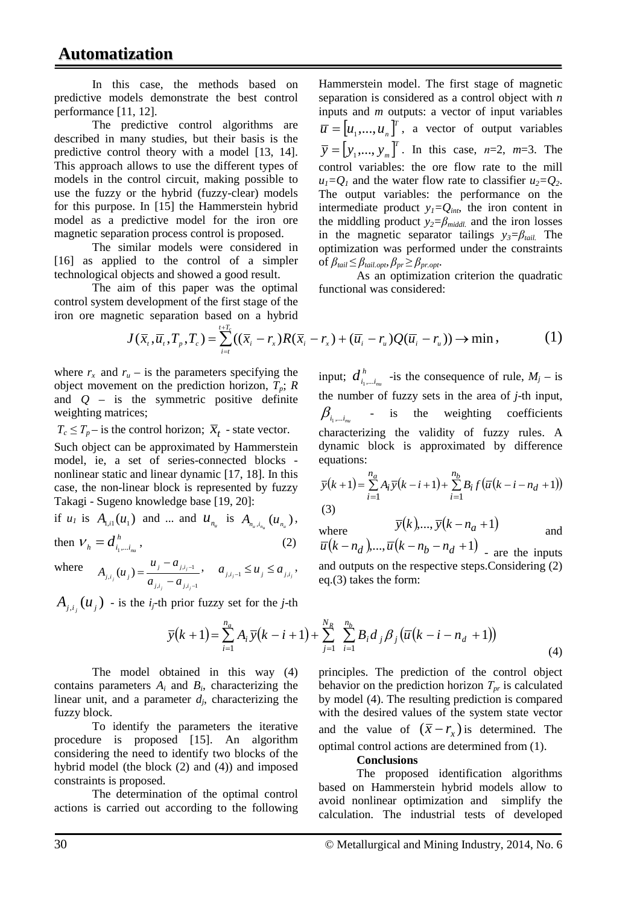In this case, the methods based on predictive models demonstrate the best control performance [11, 12].

The predictive control algorithms are described in many studies, but their basis is the predictive control theory with a model [13, 14]. This approach allows to use the different types of models in the control circuit, making possible to use the fuzzy or the hybrid (fuzzy-clear) models for this purpose. In [15] the Hammerstein hybrid model as a predictive model for the iron ore magnetic separation process control is proposed.

The similar models were considered in [16] as applied to the control of a simpler technological objects and showed a good result.

The aim of this paper was the optimal control system development of the first stage of the iron ore magnetic separation based on a hybrid

$$
J(\overline{x}_i, \overline{u}_i, T_p, T_c) = \sum_{i=t}^{t+T_c} ((\overline{x}_i - r_x)R(\overline{x}_i - r_x) + (\overline{u}_i - r_u)Q(\overline{u}_i - r_u)) \rightarrow \min, \qquad (1)
$$

where  $r_x$  and  $r_u$  – is the parameters specifying the object movement on the prediction horizon,  $T_p$ ; *R* and *Q* – is the symmetric positive definite weighting matrices;

 $T_c \leq T_p$  – is the control horizon;  $\overline{X}_t$  - state vector.

Such object can be approximated by Hammerstein model, ie, a set of series-connected blocks nonlinear static and linear dynamic [17, 18]. In this case, the non-linear block is represented by fuzzy Takagi - Sugeno knowledge base [19, 20]:

if *u<sub>1</sub>* is  $A_{1,i} (u_1)$  and ... and  $u_{n_u}$  is  $A_{n_u,i_{n_u}} (u_{n_u})$ , then  $V_h = d_{i_1,...i_m}^h$ , (2)

where  $i_j$   $u_{j,i_j-1}$  $_{i_{i}}(u_{j}) = \frac{u_{j} - u_{j,i_{j}-1}}{u_{j,i_{j}-1}}$ − − −  $=\frac{u_j - u_j}{u_j - u_j}$ *j j j*  $a_{j,i_j} - a_{j,i_j}$ *j j i*  $a_{i,j}$ <sup>(*a*</sup><sub>*j*</sub>) –  $a_{i,j}$  – *a*  $A_{i,j}(u_i) = \frac{u_j - a_{j,i_j-1}}{u_j}, \quad a_{j,i_j-1} \le u_j \le a_{j,i_j},$ 

 $A_{j,i_j}(u_j)$  - is the *i<sub>j</sub>*-th prior fuzzy set for the *j*-th

$$
\overline{y}(k+1) = \sum_{i=1}^{n_a} A_i \,\overline{y}(k-i+1) + \sum_{j=1}^{N_R} \sum_{i=1}^{n_b} B_i d_j \beta_j (\overline{u}(k-i-n_d+1))
$$
\n(4)

The model obtained in contains parameters  $A_i$  and  $B_i$ , characterizing the linear unit, and a parameter *dj*, characterizing the fuzzy block.

To identify the parameters the iterative procedure is proposed [15]. An algorithm considering the need to identify two blocks of the hybrid model (the block (2) and (4)) and imposed constraints is proposed.

The determination of the optimal control actions is carried out according to the following

Hammerstein model. The first stage of magnetic separation is considered as a control object with *n* inputs and *m* outputs: a vector of input variables  $\overline{u} = [u_1, ..., u_n]^T$ , a vector of output variables  $\bar{y} = [y_1, ..., y_m]^T$ . In this case, *n*=2, *m*=3. The control variables: the ore flow rate to the mill  $u_1=Q_1$  and the water flow rate to classifier  $u_2=Q_2$ . The output variables: the performance on the intermediate product  $y_1 = Q_{int}$ , the iron content in the middling product  $y_2 = \beta_{\text{middle}}$  and the iron losses in the magnetic separator tailings  $y_3 = \beta_{tail}$ . The optimization was performed under the constraints of  $\beta_{tail} \leq \beta_{tail}$ ,  $\rho_{pr} \geq \beta_{pr.opt}$ .

As an optimization criterion the quadratic functional was considered:

input;  $d_{i_1,...i_m}^h$  -is the consequence of rule,  $M_j$  – is the number of fuzzy sets in the area of *j*-th input,  $\beta_{i,\dots,i\dots}$ - is the weighting coefficients characterizing the validity of fuzzy rules. A dynamic block is approximated by difference equations:

$$
\overline{y}(k+1) = \sum_{i=1}^{n_a} A_i \overline{y}(k-i+1) + \sum_{i=1}^{n_b} B_i f(\overline{u}(k-i-n_d+1))
$$
\n(3)

where 
$$
\overline{y}(k), ..., \overline{y}(k-n_a+1)
$$
 and   
  $-(k-1)(n_a+1)$ 

 $\overline{u}(k - n_d), \dots, \overline{u}(k - n_b - n_d + 1)$  are the inputs and outputs on the respective steps.Considering (2) eq.(3) takes the form:

$$
\sum_{j=1}^{n} A_i y (k - i + 1) + \sum_{j=1}^{n} \sum_{i=1}^{n} B_i a_j \beta_j (u (k - i - n_d + 1))
$$
\n(4)

\nthis way (4) principles. The prediction of the control object

\nthe prediction between *T*, is calculated.

behavior on the prediction horizon *Тpr* is calculated by model (4). The resulting prediction is compared with the desired values of the system state vector and the value of  $(\bar{x} - r_x)$  is determined. The optimal control actions are determined from (1).

#### **Conclusions**

The proposed identification algorithms based on Hammerstein hybrid models allow to avoid nonlinear optimization and simplify the calculation. The industrial tests of developed